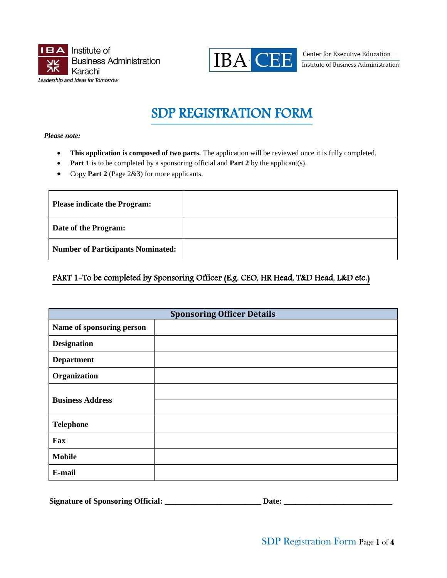



**Center for Executive Education** Institute of Business Administration

# SDP REGISTRATION FORM

*Please note:* 

- This application is composed of two parts. The application will be reviewed once it is fully completed.
- **Part 1** is to be completed by a sponsoring official and **Part 2** by the applicant(s).
- Copy **Part 2** (Page 2&3) for more applicants.

| <b>Please indicate the Program:</b>      |  |
|------------------------------------------|--|
| Date of the Program:                     |  |
| <b>Number of Participants Nominated:</b> |  |

# PART 1-To be completed by Sponsoring Officer (E.g. CEO, HR Head, T&D Head, L&D etc.)

| <b>Sponsoring Officer Details</b> |  |  |
|-----------------------------------|--|--|
| Name of sponsoring person         |  |  |
| <b>Designation</b>                |  |  |
| <b>Department</b>                 |  |  |
| Organization                      |  |  |
| <b>Business Address</b>           |  |  |
|                                   |  |  |
| <b>Telephone</b>                  |  |  |
| Fax                               |  |  |
| <b>Mobile</b>                     |  |  |
| E-mail                            |  |  |

| <b>Signature of Sponsoring Official:</b> |  |
|------------------------------------------|--|
|------------------------------------------|--|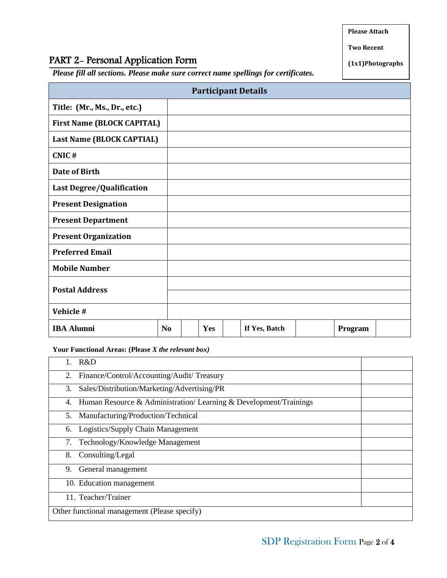**Please Attach**

# PART 2- Personal Application Form

*Please fill all sections. Please make sure correct name spellings for certificates.* 

| <b>Participant Details</b>        |                |  |     |  |               |         |  |
|-----------------------------------|----------------|--|-----|--|---------------|---------|--|
| Title: (Mr., Ms., Dr., etc.)      |                |  |     |  |               |         |  |
| <b>First Name (BLOCK CAPITAL)</b> |                |  |     |  |               |         |  |
| Last Name (BLOCK CAPTIAL)         |                |  |     |  |               |         |  |
| CNIC#                             |                |  |     |  |               |         |  |
| Date of Birth                     |                |  |     |  |               |         |  |
| <b>Last Degree/Qualification</b>  |                |  |     |  |               |         |  |
| <b>Present Designation</b>        |                |  |     |  |               |         |  |
| <b>Present Department</b>         |                |  |     |  |               |         |  |
| <b>Present Organization</b>       |                |  |     |  |               |         |  |
| <b>Preferred Email</b>            |                |  |     |  |               |         |  |
| <b>Mobile Number</b>              |                |  |     |  |               |         |  |
| <b>Postal Address</b>             |                |  |     |  |               |         |  |
| Vehicle #                         |                |  |     |  |               |         |  |
| <b>IBA Alumni</b>                 | N <sub>0</sub> |  | Yes |  | If Yes, Batch | Program |  |

**Your Functional Areas: (Please** *X the relevant box)*

| R&D                                                                    |  |  |
|------------------------------------------------------------------------|--|--|
| Finance/Control/Accounting/Audit/Treasury<br>2.                        |  |  |
| Sales/Distribution/Marketing/Advertising/PR<br>3.                      |  |  |
| Human Resource & Administration/Learning & Development/Trainings<br>4. |  |  |
| Manufacturing/Production/Technical<br>5.                               |  |  |
| Logistics/Supply Chain Management<br>6.                                |  |  |
| Technology/Knowledge Management<br>7.                                  |  |  |
| Consulting/Legal<br>8.                                                 |  |  |
| 9.<br>General management                                               |  |  |
| 10. Education management                                               |  |  |
| 11. Teacher/Trainer                                                    |  |  |
| Other functional management (Please specify)                           |  |  |

**(1x1)Photographs**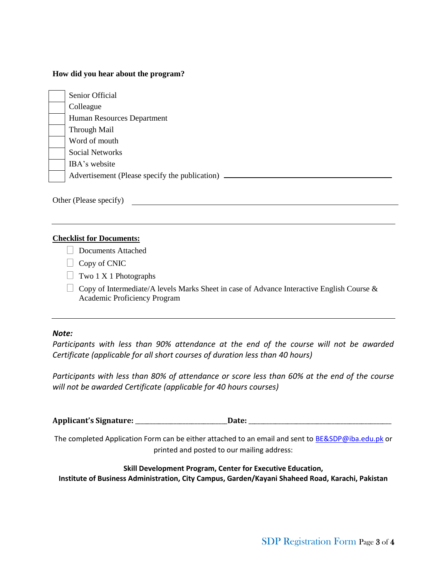#### **How did you hear about the program?**

| Senior Official                                |
|------------------------------------------------|
| Colleague                                      |
| Human Resources Department                     |
| Through Mail                                   |
| Word of mouth                                  |
| <b>Social Networks</b>                         |
| IBA's website                                  |
| Advertisement (Please specify the publication) |

Other (Please specify)

#### **Checklist for Documents:**

- Documents Attached
- $\Box$  Copy of CNIC
- $\Box$  Two 1 X 1 Photographs
- $\Box$  Copy of Intermediate/A levels Marks Sheet in case of Advance Interactive English Course & Academic Proficiency Program

#### *Note:*

*Participants with less than 90% attendance at the end of the course will not be awarded Certificate (applicable for all short courses of duration less than 40 hours)*

*Participants with less than 80% of attendance or score less than 60% at the end of the course will not be awarded Certificate (applicable for 40 hours courses)*

**Applicant's Signature:** \_\_\_\_\_\_\_\_\_\_\_\_\_\_\_\_\_\_\_\_\_\_\_\_\_\_\_\_\_\_\_**Date:** \_\_\_\_\_\_\_\_\_\_\_\_\_\_\_\_\_\_\_\_\_\_\_\_\_\_\_\_\_\_\_\_\_\_\_\_\_\_\_\_\_\_\_\_\_\_\_\_

The completed Application Form can be either attached to an email and sent to [BE&SDP@iba.edu.pk](mailto:BE&SDP@iba.edu.pk) or printed and posted to our mailing address:

#### **Skill Development Program, Center for Executive Education,**

**Institute of Business Administration, City Campus, Garden/Kayani Shaheed Road, Karachi, Pakistan**